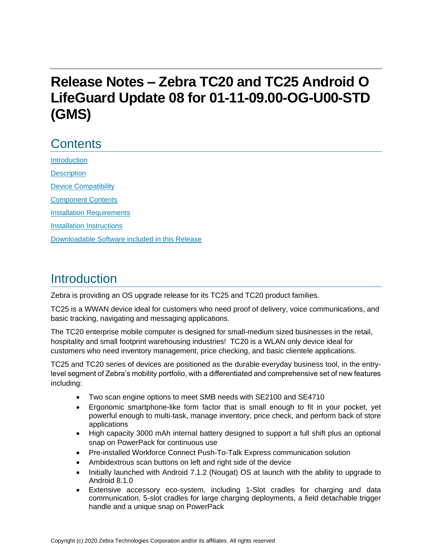# **Release Notes – Zebra TC20 and TC25 Android O LifeGuard Update 08 for 01-11-09.00-OG-U00-STD (GMS)**

# **Contents**

**[Introduction](#page-0-0) [Description](#page-1-0)** [Device Compatibility](#page-3-0) [Component Contents](#page-5-0) [Installation Requirements](#page-6-0) [Installation Instructions](#page-7-0) [Downloadable Software included in this Release](#page-9-0) 

## <span id="page-0-0"></span>Introduction

Zebra is providing an OS upgrade release for its TC25 and TC20 product families.

TC25 is a WWAN device ideal for customers who need proof of delivery, voice communications, and basic tracking, navigating and messaging applications.

The TC20 enterprise mobile computer is designed for small-medium sized businesses in the retail, hospitality and small footprint warehousing industries! TC20 is a WLAN only device ideal for customers who need inventory management, price checking, and basic clientele applications.

TC25 and TC20 series of devices are positioned as the durable everyday business tool, in the entrylevel segment of Zebra's mobility portfolio, with a differentiated and comprehensive set of new features including:

- Two scan engine options to meet SMB needs with SE2100 and SE4710
- Ergonomic smartphone-like form factor that is small enough to fit in your pocket, yet powerful enough to multi-task, manage inventory, price check, and perform back of store applications
- High capacity 3000 mAh internal battery designed to support a full shift plus an optional snap on PowerPack for continuous use
- Pre-installed Workforce Connect Push-To-Talk Express communication solution
- Ambidextrous scan buttons on left and right side of the device
- Initially launched with Android 7.1.2 (Nougat) OS at launch with the ability to upgrade to Android 8.1.0
- Extensive accessory eco-system, including 1-Slot cradles for charging and data communication, 5-slot cradles for large charging deployments, a field detachable trigger handle and a unique snap on PowerPack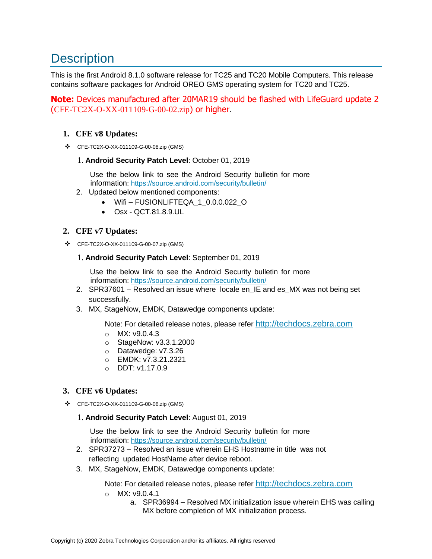## <span id="page-1-0"></span>**Description**

This is the first Android 8.1.0 software release for TC25 and TC20 Mobile Computers. This release contains software packages for Android OREO GMS operating system for TC20 and TC25.

**Note:** Devices manufactured after 20MAR19 should be flashed with LifeGuard update 2 (CFE-TC2X-O-XX-011109-G-00-02.zip) or higher.

#### **1. CFE v8 Updates:**

❖ CFE-TC2X-O-XX-011109-G-00-08.zip (GMS)

#### 1. **Android Security Patch Level**: October 01, 2019

Use the below link to see the Android Security bulletin for more information:<https://source.android.com/security/bulletin/>

- 2. Updated below mentioned components:
	- Wifi FUSIONLIFTEQA\_1\_0.0.0.022\_O
	- Osx QCT.81.8.9.UL

#### **2. CFE v7 Updates:**

❖ CFE-TC2X-O-XX-011109-G-00-07.zip (GMS)

#### 1. **Android Security Patch Level**: September 01, 2019

Use the below link to see the Android Security bulletin for more information:<https://source.android.com/security/bulletin/>

- 2. SPR37601 Resolved an issue where locale en\_IE and es\_MX was not being set successfully.
- 3. MX, StageNow, EMDK, Datawedge components update:

Note: For detailed release notes, please refer [http://techdocs.zebra.com](http://techdocs.zebra.com/)

- o MX: v9.0.4.3
- o StageNow: v3.3.1.2000
- o Datawedge: v7.3.26
- o EMDK: v7.3.21.2321
- o DDT: v1.17.0.9

#### **3. CFE v6 Updates:**

❖ CFE-TC2X-O-XX-011109-G-00-06.zip (GMS)

#### 1. **Android Security Patch Level**: August 01, 2019

Use the below link to see the Android Security bulletin for more information:<https://source.android.com/security/bulletin/>

- 2. SPR37273 Resolved an issue wherein EHS Hostname in title was not reflecting updated HostName after device reboot.
- 3. MX, StageNow, EMDK, Datawedge components update:

Note: For detailed release notes, please refer [http://techdocs.zebra.com](http://techdocs.zebra.com/)

- o MX: v9.0.4.1
	- a. SPR36994 Resolved MX initialization issue wherein EHS was calling MX before completion of MX initialization process.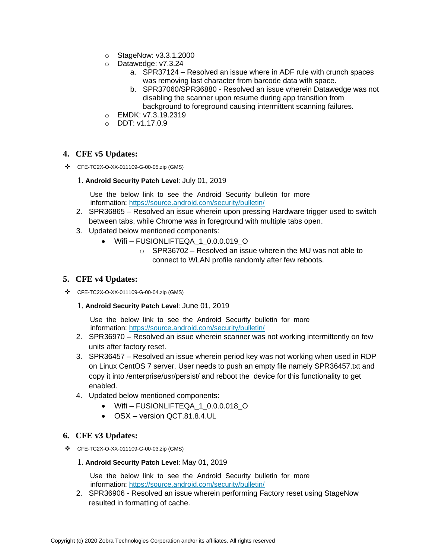- o StageNow: v3.3.1.2000
- o Datawedge: v7.3.24
	- a. SPR37124 Resolved an issue where in ADF rule with crunch spaces was removing last character from barcode data with space.
	- b. SPR37060/SPR36880 Resolved an issue wherein Datawedge was not disabling the scanner upon resume during app transition from background to foreground causing intermittent scanning failures.
- o EMDK: v7.3.19.2319
- o DDT: v1.17.0.9

#### **4. CFE v5 Updates:**

❖ CFE-TC2X-O-XX-011109-G-00-05.zip (GMS)

#### 1. **Android Security Patch Level**: July 01, 2019

Use the below link to see the Android Security bulletin for more information:<https://source.android.com/security/bulletin/>

- 2. SPR36865 Resolved an issue wherein upon pressing Hardware trigger used to switch between tabs, while Chrome was in foreground with multiple tabs open.
- 3. Updated below mentioned components:
	- Wifi-FUSIONLIFTEQA 1 0.0.0.019 O
		- $\circ$  SPR36702 Resolved an issue wherein the MU was not able to connect to WLAN profile randomly after few reboots.

#### **5. CFE v4 Updates:**

❖ CFE-TC2X-O-XX-011109-G-00-04.zip (GMS)

#### 1. **Android Security Patch Level**: June 01, 2019

Use the below link to see the Android Security bulletin for more information:<https://source.android.com/security/bulletin/>

- 2. SPR36970 Resolved an issue wherein scanner was not working intermittently on few units after factory reset.
- 3. SPR36457 Resolved an issue wherein period key was not working when used in RDP on Linux CentOS 7 server. User needs to push an empty file namely SPR36457.txt and copy it into /enterprise/usr/persist/ and reboot the device for this functionality to get enabled.
- 4. Updated below mentioned components:
	- Wifi-FUSIONLIFTEQA 1 0.0.0.018 O
	- OSX version QCT.81.8.4.UL

#### **6. CFE v3 Updates:**

❖ CFE-TC2X-O-XX-011109-G-00-03.zip (GMS)

#### 1. **Android Security Patch Level**: May 01, 2019

Use the below link to see the Android Security bulletin for more information:<https://source.android.com/security/bulletin/>

2. SPR36906 - Resolved an issue wherein performing Factory reset using StageNow resulted in formatting of cache.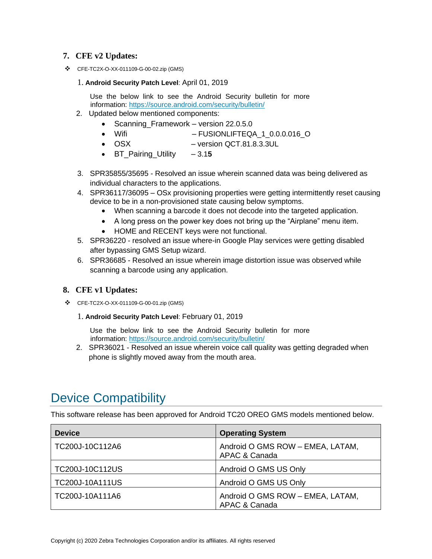#### **7. CFE v2 Updates:**

❖ CFE-TC2X-O-XX-011109-G-00-02.zip (GMS)

#### 1. **Android Security Patch Level**: April 01, 2019

Use the below link to see the Android Security bulletin for more information:<https://source.android.com/security/bulletin/>

- 2. Updated below mentioned components:
	- Scanning\_Framework version 22.0.5.0
	- Wifi FUSIONLIFTEQA\_1\_0.0.0.016\_O
	- OSX version QCT.81.8.3.3UL
	- BT\_Pairing\_Utility 3.1**5**
- 3. SPR35855/35695 Resolved an issue wherein scanned data was being delivered as individual characters to the applications.
- 4. SPR36117/36095 OSx provisioning properties were getting intermittently reset causing device to be in a non-provisioned state causing below symptoms.
	- When scanning a barcode it does not decode into [the](https://confluence.zebra.com/pages/createpage.action?spaceKey=LIF&title=customer+apps+or+DWDEMO) targeted application.
	- A long press on the power key does not bring up the "Airplane" menu item.
	- HOME and RECENT keys were not functional.
- 5. SPR36220 resolved an issue where-in Google Play services were getting disabled after bypassing GMS Setup wizard.
- 6. SPR36685 Resolved an issue wherein image distortion issue was observed while scanning a barcode using any application.

#### **8. CFE v1 Updates:**

❖ CFE-TC2X-O-XX-011109-G-00-01.zip (GMS)

#### 1. **Android Security Patch Level**: February 01, 2019

Use the below link to see the Android Security bulletin for more information:<https://source.android.com/security/bulletin/>

2. SPR36021 - Resolved an issue wherein voice call quality was getting degraded when phone is slightly moved away from the mouth area.

## <span id="page-3-0"></span>Device Compatibility

This software release has been approved for Android TC20 OREO GMS models mentioned below.

| <b>Device</b>          | <b>Operating System</b>                           |
|------------------------|---------------------------------------------------|
| TC200J-10C112A6        | Android O GMS ROW - EMEA, LATAM,<br>APAC & Canada |
| TC200J-10C112US        | Android O GMS US Only                             |
| <b>TC200J-10A111US</b> | Android O GMS US Only                             |
| TC200J-10A111A6        | Android O GMS ROW - EMEA, LATAM,<br>APAC & Canada |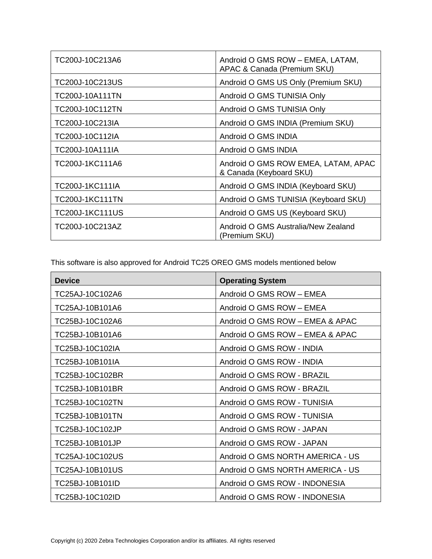| TC200J-10C213A6        | Android O GMS ROW - EMEA, LATAM,<br>APAC & Canada (Premium SKU) |
|------------------------|-----------------------------------------------------------------|
| TC200J-10C213US        | Android O GMS US Only (Premium SKU)                             |
| TC200J-10A111TN        | Android O GMS TUNISIA Only                                      |
| TC200J-10C112TN        | Android O GMS TUNISIA Only                                      |
| TC200J-10C213IA        | Android O GMS INDIA (Premium SKU)                               |
| TC200J-10C112IA        | Android O GMS INDIA                                             |
| TC200J-10A111IA        | Android O GMS INDIA                                             |
| TC200J-1KC111A6        | Android O GMS ROW EMEA, LATAM, APAC<br>& Canada (Keyboard SKU)  |
| <b>TC200J-1KC111IA</b> | Android O GMS INDIA (Keyboard SKU)                              |
| <b>TC200J-1KC111TN</b> | Android O GMS TUNISIA (Keyboard SKU)                            |
| <b>TC200J-1KC111US</b> | Android O GMS US (Keyboard SKU)                                 |
| TC200J-10C213AZ        | Android O GMS Australia/New Zealand<br>(Premium SKU)            |

This software is also approved for Android TC25 OREO GMS models mentioned below

| <b>Device</b>   | <b>Operating System</b>          |
|-----------------|----------------------------------|
| TC25AJ-10C102A6 | Android O GMS ROW - EMEA         |
| TC25AJ-10B101A6 | Android O GMS ROW - EMEA         |
| TC25BJ-10C102A6 | Android O GMS ROW - EMEA & APAC  |
| TC25BJ-10B101A6 | Android O GMS ROW - EMEA & APAC  |
| TC25BJ-10C102IA | Android O GMS ROW - INDIA        |
| TC25BJ-10B101IA | Android O GMS ROW - INDIA        |
| TC25BJ-10C102BR | Android O GMS ROW - BRAZIL       |
| TC25BJ-10B101BR | Android O GMS ROW - BRAZIL       |
| TC25BJ-10C102TN | Android O GMS ROW - TUNISIA      |
| TC25BJ-10B101TN | Android O GMS ROW - TUNISIA      |
| TC25BJ-10C102JP | Android O GMS ROW - JAPAN        |
| TC25BJ-10B101JP | Android O GMS ROW - JAPAN        |
| TC25AJ-10C102US | Android O GMS NORTH AMERICA - US |
| TC25AJ-10B101US | Android O GMS NORTH AMERICA - US |
| TC25BJ-10B101ID | Android O GMS ROW - INDONESIA    |
| TC25BJ-10C102ID | Android O GMS ROW - INDONESIA    |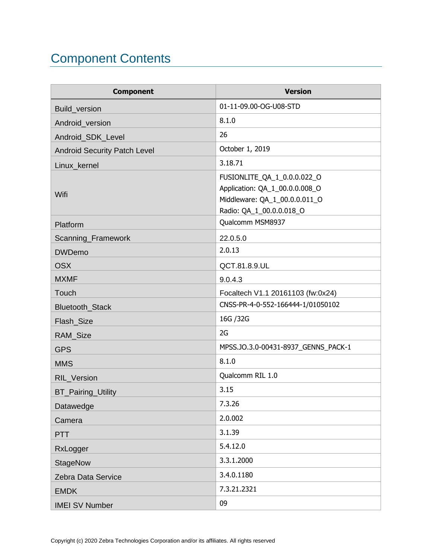# <span id="page-5-0"></span>Component Contents

| <b>Component</b>                    | <b>Version</b>                                                                                                             |
|-------------------------------------|----------------------------------------------------------------------------------------------------------------------------|
| Build_version                       | 01-11-09.00-OG-U08-STD                                                                                                     |
| Android_version                     | 8.1.0                                                                                                                      |
| Android_SDK_Level                   | 26                                                                                                                         |
| <b>Android Security Patch Level</b> | October 1, 2019                                                                                                            |
| Linux_kernel                        | 3.18.71                                                                                                                    |
| Wifi                                | FUSIONLITE_QA_1_0.0.0.022_O<br>Application: QA_1_00.0.0.008_O<br>Middleware: QA_1_00.0.0.011_O<br>Radio: QA_1_00.0.0.018_O |
| Platform                            | Qualcomm MSM8937                                                                                                           |
| Scanning_Framework                  | 22.0.5.0                                                                                                                   |
| <b>DWDemo</b>                       | 2.0.13                                                                                                                     |
| <b>OSX</b>                          | QCT.81.8.9.UL                                                                                                              |
| <b>MXMF</b>                         | 9.0.4.3                                                                                                                    |
| Touch                               | Focaltech V1.1 20161103 (fw:0x24)                                                                                          |
| Bluetooth_Stack                     | CNSS-PR-4-0-552-166444-1/01050102                                                                                          |
| Flash_Size                          | 16G / 32G                                                                                                                  |
| RAM_Size                            | 2G                                                                                                                         |
| <b>GPS</b>                          | MPSS.JO.3.0-00431-8937_GENNS_PACK-1                                                                                        |
| <b>MMS</b>                          | 8.1.0                                                                                                                      |
| RIL_Version                         | Qualcomm RIL 1.0                                                                                                           |
| <b>BT_Pairing_Utility</b>           | 3.15                                                                                                                       |
| Datawedge                           | 7.3.26                                                                                                                     |
| Camera                              | 2.0.002                                                                                                                    |
| <b>PTT</b>                          | 3.1.39                                                                                                                     |
| RxLogger                            | 5.4.12.0                                                                                                                   |
| <b>StageNow</b>                     | 3.3.1.2000                                                                                                                 |
| Zebra Data Service                  | 3.4.0.1180                                                                                                                 |
| <b>EMDK</b>                         | 7.3.21.2321                                                                                                                |
| <b>IMEI SV Number</b>               | 09                                                                                                                         |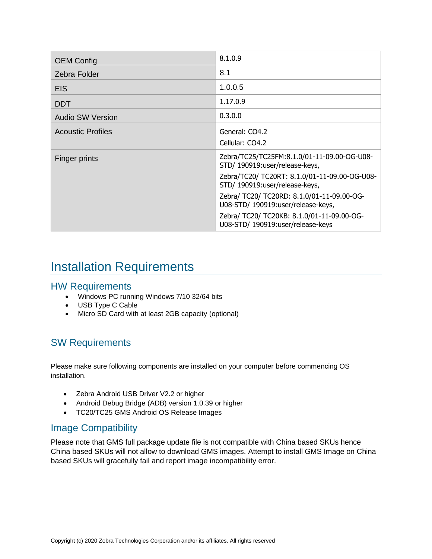| <b>OEM Config</b>        | 8.1.0.9                                                                                                                                                                                                                                                                                                                                |
|--------------------------|----------------------------------------------------------------------------------------------------------------------------------------------------------------------------------------------------------------------------------------------------------------------------------------------------------------------------------------|
| Zebra Folder             | 8.1                                                                                                                                                                                                                                                                                                                                    |
| <b>EIS</b>               | 1.0.0.5                                                                                                                                                                                                                                                                                                                                |
| <b>DDT</b>               | 1.17.0.9                                                                                                                                                                                                                                                                                                                               |
| <b>Audio SW Version</b>  | 0.3.0.0                                                                                                                                                                                                                                                                                                                                |
| <b>Acoustic Profiles</b> | General: CO4.2<br>Cellular: CO4.2                                                                                                                                                                                                                                                                                                      |
| Finger prints            | Zebra/TC25/TC25FM:8.1.0/01-11-09.00-OG-U08-<br>STD/ 190919:user/release-keys,<br>Zebra/TC20/ TC20RT: 8.1.0/01-11-09.00-OG-U08-<br>STD/ 190919:user/release-keys,<br>Zebra/ TC20/ TC20RD: 8.1.0/01-11-09.00-OG-<br>U08-STD/190919:user/release-keys,<br>Zebra/ TC20/ TC20KB: 8.1.0/01-11-09.00-OG-<br>U08-STD/ 190919:user/release-keys |

## <span id="page-6-0"></span>Installation Requirements

### HW Requirements

- Windows PC running Windows 7/10 32/64 bits
- USB Type C Cable
- Micro SD Card with at least 2GB capacity (optional)

### SW Requirements

Please make sure following components are installed on your computer before commencing OS installation.

- Zebra Android USB Driver V2.2 or higher
- Android Debug Bridge (ADB) version 1.0.39 or higher
- TC20/TC25 GMS Android OS Release Images

### Image Compatibility

Please note that GMS full package update file is not compatible with China based SKUs hence China based SKUs will not allow to download GMS images. Attempt to install GMS Image on China based SKUs will gracefully fail and report image incompatibility error.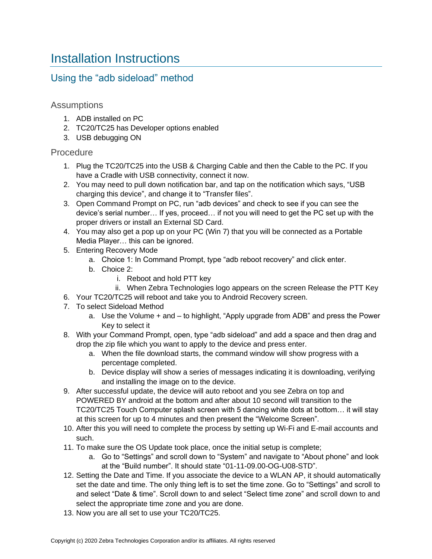## <span id="page-7-0"></span>Installation Instructions

### Using the "adb sideload" method

#### Assumptions

- 1. ADB installed on PC
- 2. TC20/TC25 has Developer options enabled
- 3. USB debugging ON

#### Procedure

- 1. Plug the TC20/TC25 into the USB & Charging Cable and then the Cable to the PC. If you have a Cradle with USB connectivity, connect it now.
- 2. You may need to pull down notification bar, and tap on the notification which says, "USB charging this device", and change it to "Transfer files".
- 3. Open Command Prompt on PC, run "adb devices" and check to see if you can see the device's serial number… If yes, proceed… if not you will need to get the PC set up with the proper drivers or install an External SD Card.
- 4. You may also get a pop up on your PC (Win 7) that you will be connected as a Portable Media Player… this can be ignored.
- 5. Entering Recovery Mode
	- a. Choice 1: In Command Prompt, type "adb reboot recovery" and click enter.
	- b. Choice 2:
		- i. Reboot and hold PTT key
		- ii. When Zebra Technologies logo appears on the screen Release the PTT Key
- 6. Your TC20/TC25 will reboot and take you to Android Recovery screen.
- 7. To select Sideload Method
	- a. Use the Volume + and to highlight, "Apply upgrade from ADB" and press the Power Key to select it
- 8. With your Command Prompt, open, type "adb sideload" and add a space and then drag and drop the zip file which you want to apply to the device and press enter.
	- a. When the file download starts, the command window will show progress with a percentage completed.
	- b. Device display will show a series of messages indicating it is downloading, verifying and installing the image on to the device.
- 9. After successful update, the device will auto reboot and you see Zebra on top and POWERED BY android at the bottom and after about 10 second will transition to the TC20/TC25 Touch Computer splash screen with 5 dancing white dots at bottom… it will stay at this screen for up to 4 minutes and then present the "Welcome Screen".
- 10. After this you will need to complete the process by setting up Wi-Fi and E-mail accounts and such.
- 11. To make sure the OS Update took place, once the initial setup is complete;
	- a. Go to "Settings" and scroll down to "System" and navigate to "About phone" and look at the "Build number". It should state "01-11-09.00-OG-U08-STD".
- 12. Setting the Date and Time. If you associate the device to a WLAN AP, it should automatically set the date and time. The only thing left is to set the time zone. Go to "Settings" and scroll to and select "Date & time". Scroll down to and select "Select time zone" and scroll down to and select the appropriate time zone and you are done.
- 13. Now you are all set to use your TC20/TC25.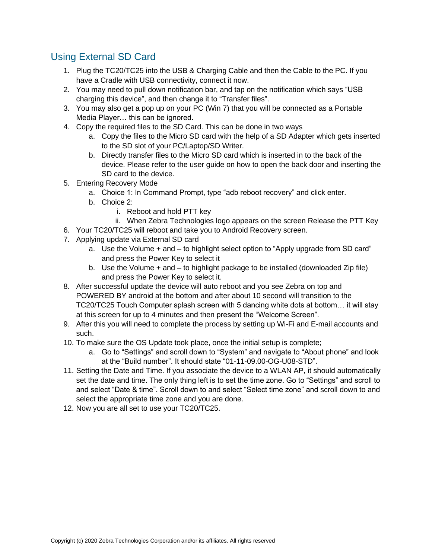### Using External SD Card

- 1. Plug the TC20/TC25 into the USB & Charging Cable and then the Cable to the PC. If you have a Cradle with USB connectivity, connect it now.
- 2. You may need to pull down notification bar, and tap on the notification which says "USB charging this device", and then change it to "Transfer files".
- 3. You may also get a pop up on your PC (Win 7) that you will be connected as a Portable Media Player… this can be ignored.
- 4. Copy the required files to the SD Card. This can be done in two ways
	- a. Copy the files to the Micro SD card with the help of a SD Adapter which gets inserted to the SD slot of your PC/Laptop/SD Writer.
	- b. Directly transfer files to the Micro SD card which is inserted in to the back of the device. Please refer to the user guide on how to open the back door and inserting the SD card to the device.
- 5. Entering Recovery Mode
	- a. Choice 1: In Command Prompt, type "adb reboot recovery" and click enter.
	- b. Choice 2:
		- i. Reboot and hold PTT key
		- ii. When Zebra Technologies logo appears on the screen Release the PTT Key
- 6. Your TC20/TC25 will reboot and take you to Android Recovery screen.
- 7. Applying update via External SD card
	- a. Use the Volume + and to highlight select option to "Apply upgrade from SD card" and press the Power Key to select it
	- b. Use the Volume + and to highlight package to be installed (downloaded Zip file) and press the Power Key to select it.
- 8. After successful update the device will auto reboot and you see Zebra on top and POWERED BY android at the bottom and after about 10 second will transition to the TC20/TC25 Touch Computer splash screen with 5 dancing white dots at bottom… it will stay at this screen for up to 4 minutes and then present the "Welcome Screen".
- 9. After this you will need to complete the process by setting up Wi-Fi and E-mail accounts and such.
- 10. To make sure the OS Update took place, once the initial setup is complete;
	- a. Go to "Settings" and scroll down to "System" and navigate to "About phone" and look at the "Build number". It should state "01-11-09.00-OG-U08-STD".
- 11. Setting the Date and Time. If you associate the device to a WLAN AP, it should automatically set the date and time. The only thing left is to set the time zone. Go to "Settings" and scroll to and select "Date & time". Scroll down to and select "Select time zone" and scroll down to and select the appropriate time zone and you are done.
- 12. Now you are all set to use your TC20/TC25.